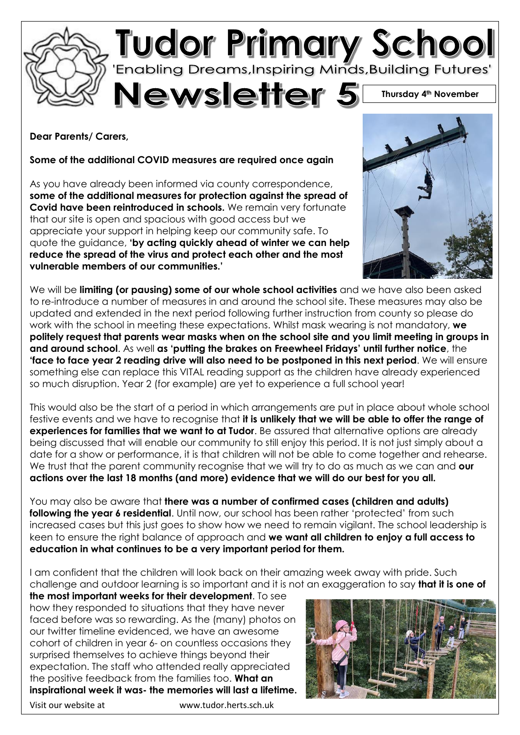

# **Tudor Primary School**<br>Enabling Dreams, Inspiring Minds, Building Futures'

Newsletter 5<sup></sup>

**Thursday 4th November**

**Dear Parents/ Carers,**

**Some of the additional COVID measures are required once again**

As you have already been informed via county correspondence, **some of the additional measures for protection against the spread of Covid have been reintroduced in schools.** We remain very fortunate that our site is open and spacious with good access but we appreciate your support in helping keep our community safe. To quote the guidance, **'by acting quickly ahead of winter we can help reduce the spread of the virus and protect each other and the most vulnerable members of our communities.'**



We will be **limiting (or pausing) some of our whole school activities** and we have also been asked to re-introduce a number of measures in and around the school site. These measures may also be updated and extended in the next period following further instruction from county so please do work with the school in meeting these expectations. Whilst mask wearing is not mandatory, **we politely request that parents wear masks when on the school site and you limit meeting in groups in and around school**. As well **as 'putting the brakes on Freewheel Fridays' until further notice**, the **'face to face year 2 reading drive will also need to be postponed in this next period**. We will ensure something else can replace this VITAL reading support as the children have already experienced so much disruption. Year 2 (for example) are yet to experience a full school year!

This would also be the start of a period in which arrangements are put in place about whole school festive events and we have to recognise that **it is unlikely that we will be able to offer the range of experiences for families that we want to at Tudor**. Be assured that alternative options are already being discussed that will enable our community to still enjoy this period. It is not just simply about a date for a show or performance, it is that children will not be able to come together and rehearse. We trust that the parent community recognise that we will try to do as much as we can and **our actions over the last 18 months (and more) evidence that we will do our best for you all.**

You may also be aware that **there was a number of confirmed cases (children and adults) following the year 6 residential**. Until now, our school has been rather 'protected' from such increased cases but this just goes to show how we need to remain vigilant. The school leadership is keen to ensure the right balance of approach and **we want all children to enjoy a full access to education in what continues to be a very important period for them.**

I am confident that the children will look back on their amazing week away with pride. Such challenge and outdoor learning is so important and it is not an exaggeration to say **that it is one of** 

**the most important weeks for their development**. To see how they responded to situations that they have never faced before was so rewarding. As the (many) photos on our twitter timeline evidenced, we have an awesome cohort of children in year 6- on countless occasions they surprised themselves to achieve things beyond their expectation. The staff who attended really appreciated the positive feedback from the families too. **What an inspirational week it was- the memories will last a lifetime.**

Visit our website at www.tudor.herts.sch.uk